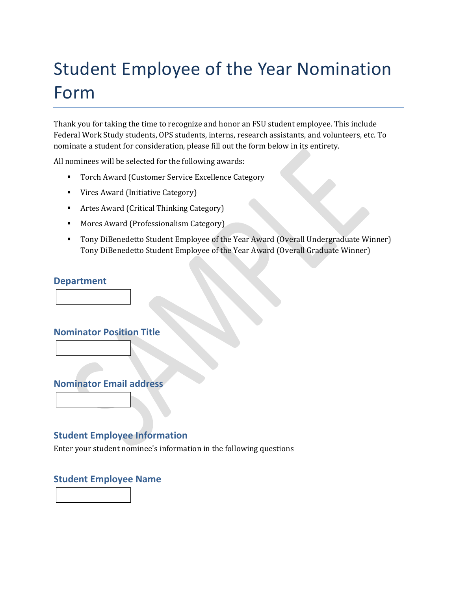# Student Employee of the Year Nomination Form

Thank you for taking the time to recognize and honor an FSU student employee. This include Federal Work Study students, OPS students, interns, research assistants, and volunteers, etc. To nominate a student for consideration, please fill out the form below in its entirety.

All nominees will be selected for the following awards:

- Torch Award (Customer Service Excellence Category
- **Vires Award (Initiative Category)**
- Artes Award (Critical Thinking Category)
- **Mores Award (Professionalism Category)**
- Tony DiBenedetto Student Employee of the Year Award (Overall Undergraduate Winner) Tony DiBenedetto Student Employee of the Year Award (Overall Graduate Winner)

#### **Department**

**Nominator Position Title**



## **Student Employee Information**

Enter your student nominee's information in the following questions

#### **Student Employee Name**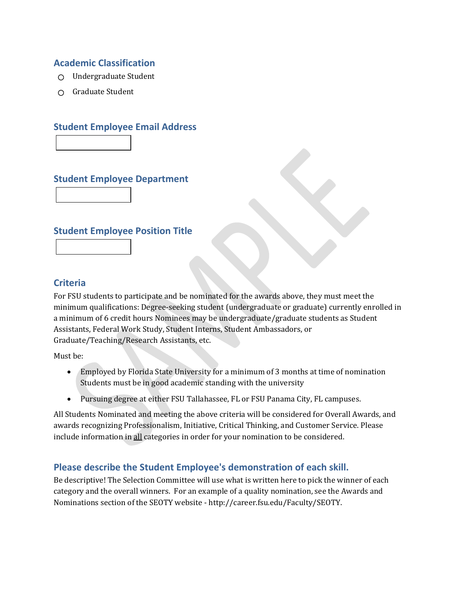#### **Academic Classification**

- $\bigcirc$  Undergraduate Student
- Graduate Student

#### **Student Employee Email Address**

**Student Employee Department**

#### **Student Employee Position Title**



For FSU students to participate and be nominated for the awards above, they must meet the minimum qualifications: Degree-seeking student (undergraduate or graduate) currently enrolled in a minimum of 6 credit hours Nominees may be undergraduate/graduate students as Student Assistants, Federal Work Study, Student Interns, Student Ambassadors, or Graduate/Teaching/Research Assistants, etc.

Must be:

- Employed by Florida State University for a minimum of 3 months at time of nomination Students must be in good academic standing with the university
- Pursuing degree at either FSU Tallahassee, FL or FSU Panama City, FL campuses.

All Students Nominated and meeting the above criteria will be considered for Overall Awards, and awards recognizing Professionalism, Initiative, Critical Thinking, and Customer Service. Please include information in all categories in order for your nomination to be considered.

## **Please describe the Student Employee's demonstration of each skill.**

Be descriptive! The Selection Committee will use what is written here to pick the winner of each category and the overall winners. For an example of a quality nomination, see the Awards and Nominations section of the SEOTY website - http://career.fsu.edu/Faculty/SEOTY.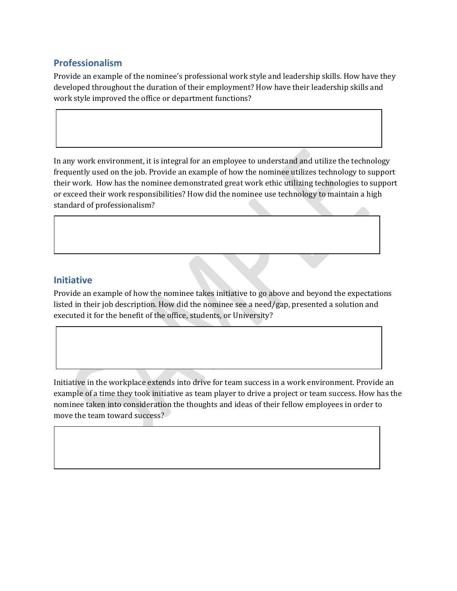## **Professionalism**

Provide an example of the nominee's professional work style and leadership skills. How have they developed throughout the duration of their employment? How have their leadership skills and work style improved the office or department functions?

In any work environment, it is integral for an employee to understand and utilize the technology frequently used on the job. Provide an example of how the nominee utilizes technology to support their work. How has the nominee demonstrated great work ethic utilizing technologies to support or exceed their work responsibilities? How did the nominee use technology to maintain a high standard of professionalism?

## **Initiative**

Provide an example of how the nominee takes initiative to go above and beyond the expectations listed in their job description. How did the nominee see a need/gap, presented a solution and executed it for the benefit of the office, students, or University?

Initiative in the workplace extends into drive for team success in a work environment. Provide an example of a time they took initiative as team player to drive a project or team success. How has the nominee taken into consideration the thoughts and ideas of their fellow employees in order to move the team toward success?